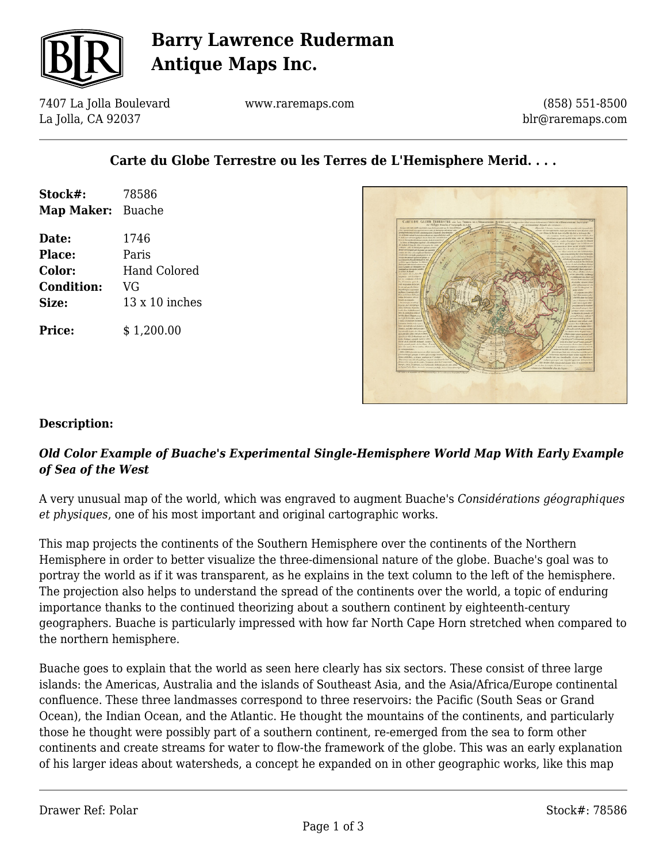

## **Barry Lawrence Ruderman Antique Maps Inc.**

7407 La Jolla Boulevard La Jolla, CA 92037

www.raremaps.com

(858) 551-8500 blr@raremaps.com

### **Carte du Globe Terrestre ou les Terres de L'Hemisphere Merid. . . .**

| Stock#:<br>Map Maker: Buache | 78586                 |
|------------------------------|-----------------------|
| Date:                        | 1746                  |
| Place:                       | Paris                 |
| <b>Color:</b>                | Hand Colored          |
| <b>Condition:</b>            | VG                    |
| Size:                        | $13 \times 10$ inches |
| Price:                       | \$1,200.00            |



#### **Description:**

#### *Old Color Example of Buache's Experimental Single-Hemisphere World Map With Early Example of Sea of the West*

A very unusual map of the world, which was engraved to augment Buache's *Considérations géographiques et physiques*, one of his most important and original cartographic works.

This map projects the continents of the Southern Hemisphere over the continents of the Northern Hemisphere in order to better visualize the three-dimensional nature of the globe. Buache's goal was to portray the world as if it was transparent, as he explains in the text column to the left of the hemisphere. The projection also helps to understand the spread of the continents over the world, a topic of enduring importance thanks to the continued theorizing about a southern continent by eighteenth-century geographers. Buache is particularly impressed with how far North Cape Horn stretched when compared to the northern hemisphere.

Buache goes to explain that the world as seen here clearly has six sectors. These consist of three large islands: the Americas, Australia and the islands of Southeast Asia, and the Asia/Africa/Europe continental confluence. These three landmasses correspond to three reservoirs: the Pacific (South Seas or Grand Ocean), the Indian Ocean, and the Atlantic. He thought the mountains of the continents, and particularly those he thought were possibly part of a southern continent, re-emerged from the sea to form other continents and create streams for water to flow-the framework of the globe. This was an early explanation of his larger ideas about watersheds, a concept he expanded on in other geographic works, like this map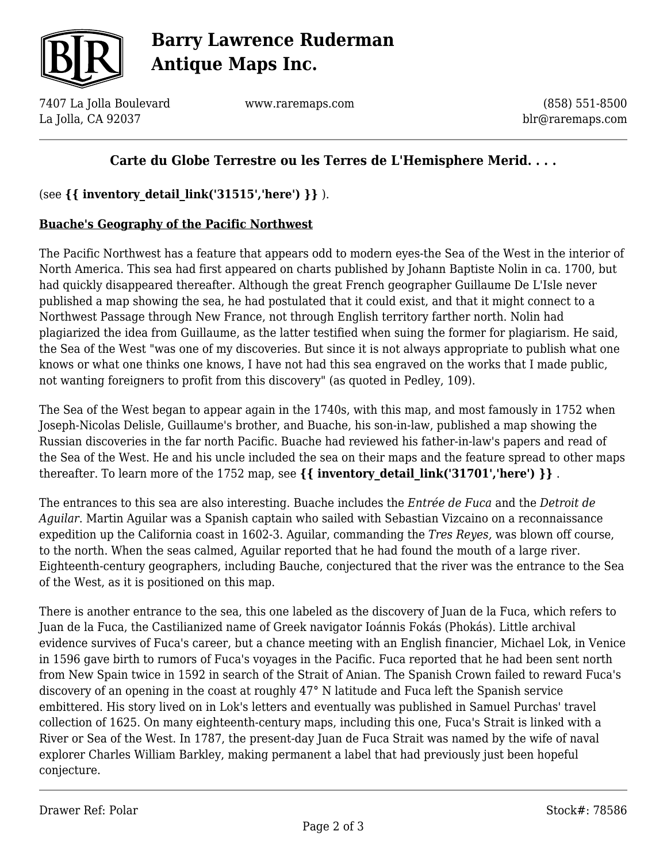

# **Barry Lawrence Ruderman Antique Maps Inc.**

7407 La Jolla Boulevard La Jolla, CA 92037

www.raremaps.com

(858) 551-8500 blr@raremaps.com

### **Carte du Globe Terrestre ou les Terres de L'Hemisphere Merid. . . .**

(see **{{ inventory\_detail\_link('31515','here') }}** ).

#### **Buache's Geography of the Pacific Northwest**

The Pacific Northwest has a feature that appears odd to modern eyes-the Sea of the West in the interior of North America. This sea had first appeared on charts published by Johann Baptiste Nolin in ca. 1700, but had quickly disappeared thereafter. Although the great French geographer Guillaume De L'Isle never published a map showing the sea, he had postulated that it could exist, and that it might connect to a Northwest Passage through New France, not through English territory farther north. Nolin had plagiarized the idea from Guillaume, as the latter testified when suing the former for plagiarism. He said, the Sea of the West "was one of my discoveries. But since it is not always appropriate to publish what one knows or what one thinks one knows, I have not had this sea engraved on the works that I made public, not wanting foreigners to profit from this discovery" (as quoted in Pedley, 109).

The Sea of the West began to appear again in the 1740s, with this map, and most famously in 1752 when Joseph-Nicolas Delisle, Guillaume's brother, and Buache, his son-in-law, published a map showing the Russian discoveries in the far north Pacific. Buache had reviewed his father-in-law's papers and read of the Sea of the West. He and his uncle included the sea on their maps and the feature spread to other maps thereafter. To learn more of the 1752 map, see  $\{ \}$  inventory detail link('31701','here')  $\}$ .

The entrances to this sea are also interesting. Buache includes the *Entrée de Fuca* and the *Detroit de Aguilar*. Martin Aguilar was a Spanish captain who sailed with Sebastian Vizcaino on a reconnaissance expedition up the California coast in 1602-3. Aguilar, commanding the *Tres Reyes,* was blown off course, to the north. When the seas calmed, Aguilar reported that he had found the mouth of a large river. Eighteenth-century geographers, including Bauche, conjectured that the river was the entrance to the Sea of the West, as it is positioned on this map.

There is another entrance to the sea, this one labeled as the discovery of Juan de la Fuca, which refers to Juan de la Fuca, the Castilianized name of Greek navigator Ioánnis Fokás (Phokás). Little archival evidence survives of Fuca's career, but a chance meeting with an English financier, Michael Lok, in Venice in 1596 gave birth to rumors of Fuca's voyages in the Pacific. Fuca reported that he had been sent north from New Spain twice in 1592 in search of the Strait of Anian. The Spanish Crown failed to reward Fuca's discovery of an opening in the coast at roughly 47° N latitude and Fuca left the Spanish service embittered. His story lived on in Lok's letters and eventually was published in Samuel Purchas' travel collection of 1625. On many eighteenth-century maps, including this one, Fuca's Strait is linked with a River or Sea of the West. In 1787, the present-day Juan de Fuca Strait was named by the wife of naval explorer Charles William Barkley, making permanent a label that had previously just been hopeful conjecture.